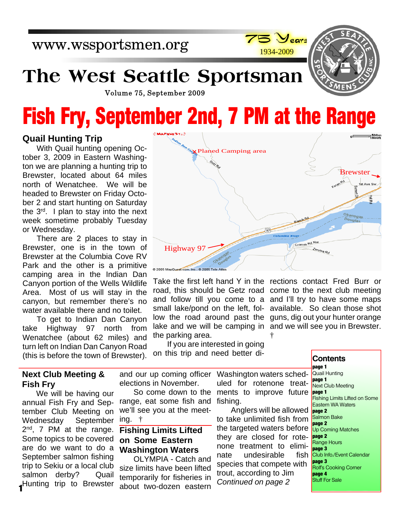

## **The West Seattle Sportsman**

Volume 75, September 2009

# **Fish Fry, September 2nd, 7 PM at the Range**

#### **Quail Hunting Trip**

With Quail hunting opening October 3, 2009 in Eastern Washington we are planning a hunting trip to Brewster, located about 64 miles north of Wenatchee. We will be headed to Brewster on Friday October 2 and start hunting on Saturday the 3rd. I plan to stay into the next week sometime probably Tuesday or Wednesday.

There are 2 places to stay in Brewster, one is in the town of Brewster at the Columbia Cove RV Park and the other is a primitive camping area in the Indian Dan Canyon portion of the Wells Wildlife Area. Most of us will stay in the canyon, but remember there's no water available there and no toilet.

To get to Indian Dan Canyon take Highway 97 north from Wenatchee (about 62 miles) and turn left on Indian Dan Canyon Road (this is before the town of Brewster).



Take the first left hand Y in the rections contact Fred Burr or road, this should be Getz road come to the next club meeting and follow till you come to a and I'll try to have some maps small lake/pond on the left, fol-available. So clean those shot low the road around past the guns, dig out your hunter orange lake and we will be camping in and we will see you in Brewster. the parking area.

If you are interested in going on this trip and need better di-

#### **Next Club Meeting & Fish Fry**

We will be having our annual Fish Fry and September Club Meeting on Wednesday September 2<sup>nd</sup>, 7 PM at the range. Some topics to be covered are do we want to do a September salmon fishing trip to Sekiu or a local club salmon derby? Quail Hunting trip to Brewster **1**

and our up coming officer elections in November.

So come down to the range, eat some fish and we'll see you at the meeting. †

#### **Fishing Limits Lifted on Some Eastern Washington Waters**

OLYMPIA - Catch and size limits have been lifted temporarily for fisheries in about two-dozen eastern

Washington waters scheduled for rotenone treatments to improve future fishing.

†

Anglers will be allowed to take unlimited fish from the targeted waters before they are closed for rotenone treatment to eliminate undesirable fish species that compete with trout, according to Jim *Continued on page 2*

**Contents**

**page 1** Quail Hunting **page 1** Next Club Meeting **page 1** Fishing Limits Lifted on Some Eastern WA Waters **page 2** Salmon Bake **page 2** Up Coming Matches **page 2** Range Hours **page 3** Club Info./Event Calendar **page 3** Rolf's Cooking Corner **page 4** Stuff For Sale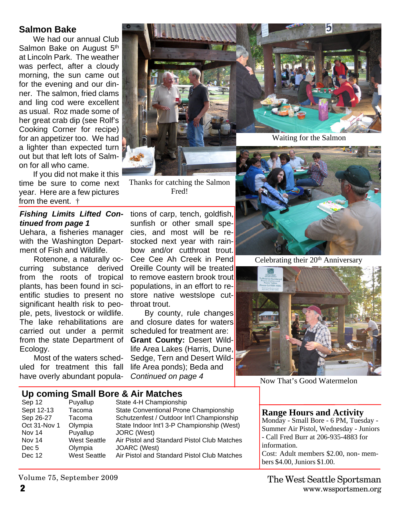#### **Salmon Bake**

We had our annual Club Salmon Bake on August 5th at Lincoln Park. The weather was perfect, after a cloudy morning, the sun came out for the evening and our dinner. The salmon, fried clams and ling cod were excellent as usual. Roz made some of her great crab dip (see Rolf's Cooking Corner for recipe) for an appetizer too. We had a lighter than expected turn out but that left lots of Salmon for all who came.

If you did not make it this time be sure to come next year. Here are a few pictures from the event. †

#### *Fishing Limits Lifted Continued from page 1*

Uehara, a fisheries manager with the Washington Department of Fish and Wildlife.

Rotenone, a naturally occurring substance derived from the roots of tropical plants, has been found in scientific studies to present no significant health risk to people, pets, livestock or wildlife. The lake rehabilitations are carried out under a permit from the state Department of Ecology.

Most of the waters scheduled for treatment this fall have overly abundant popula-



Thanks for catching the Salmon Fred!

tions of carp, tench, goldfish, sunfish or other small species, and most will be restocked next year with rainbow and/or cutthroat trout. Cee Cee Ah Creek in Pend Oreille County will be treated to remove eastern brook trout populations, in an effort to restore native westslope cutthroat trout.

By county, rule changes and closure dates for waters scheduled for treatment are: **Grant County:** Desert Wildlife Area Lakes (Harris, Dune, Sedge, Tern and Desert Wildlife Area ponds); Beda and *Continued on page 4*

Celebrating their 20<sup>th</sup> Anniversary



Now That's Good Watermelon

#### **Up coming Small Bore & Air Matches**

| Sep 12       | Puyallup            | State 4-H Championship                      |
|--------------|---------------------|---------------------------------------------|
| Sept 12-13   | Tacoma              | State Conventional Prone Championship       |
| Sep 26-27    | Tacoma              | Schutzenfest / Outdoor Int'l Championship   |
| Oct 31-Nov 1 | Olympia             | State Indoor Int'l 3-P Championship (West)  |
| Nov 14       | Puyallup            | JORC (West)                                 |
| Nov 14       | <b>West Seattle</b> | Air Pistol and Standard Pistol Club Matches |
| Dec 5        | Olympia             | JOARC (West)                                |
| Dec 12       | <b>West Seattle</b> | Air Pistol and Standard Pistol Club Matches |
|              |                     |                                             |

**Range Hours and Activity**

Monday - Small Bore - 6 PM, Tuesday - Summer Air Pistol, Wednesday - Juniors - Call Fred Burr at 206-935-4883 for information. Cost: Adult members \$2.00, non- members \$4.00, Juniors \$1.00.

Volume 75, September 2009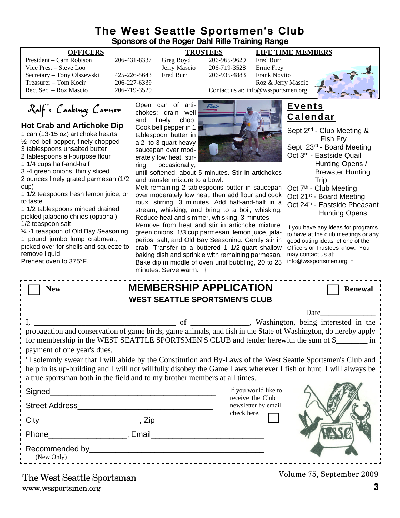#### **The West Seattle Sportsmen's Club Sponsors of the Roger Dahl Rifle Training Range**

| 206-43<br>President – Cam Robison    |  |
|--------------------------------------|--|
| Vice Pres. – Steve Loo               |  |
| 425-22<br>Secretary – Tony Olszewski |  |
| 206-22<br>Treasurer – Tom Kocir      |  |
| 206-71<br>Rec. Sec. – Roz Mascio     |  |

1-8337 Greg Boyd 206-965-9629 Fred Burr<br>Jerry Mascio 206-719-3528 Ernie Frev Jerry Mascio

#### **OFFICERS TRUSTEES LIFE TIME MEMBERS**

6-5643 Fred Burr 206-935-4883 Frank Novito Treasurer – Tom Roz & Jerry Mascio<br>19-2529 Contact us at: info@wssportsmen.org Contact us at: info@wssportsmen.org



### Rolf's Cooking Corner

#### **Hot Crab and Artichoke Dip** 1 can (13-15 oz) artichoke hearts

½ red bell pepper, finely chopped 3 tablespoons unsalted butter 2 tablespoons all-purpose flour

- 1 1/4 cups half-and-half
- 3 -4 green onions, thinly sliced

2 ounces finely grated parmesan (1/2 cup)

1 1/2 teaspoons fresh lemon juice, or to taste

1 1/2 tablespoons minced drained pickled jalapeno chilies (optional) 1/2 teaspoon salt

¾ -1 teaspoon of Old Bay Seasoning 1 pound jumbo lump crabmeat, picked over for shells and squeeze to remove liquid

Preheat oven to 375°F.

Open can of artichokes; drain well and finely chop. Cook bell pepper in 1 tablespoon butter in a 2- to 3-quart heavy saucepan over moderately low heat, stirring occasionally,



until softened, about 5 minutes. Stir in artichokes and transfer mixture to a bowl.

Melt remaining 2 tablespoons butter in saucepan over moderately low heat, then add flour and cook roux, stirring, 3 minutes. Add half-and-half in a stream, whisking, and bring to a boil, whisking. Reduce heat and simmer, whisking, 3 minutes.

Remove from heat and stir in artichoke mixture, green onions, 1/3 cup parmesan, lemon juice, jalapeños, salt, and Old Bay Seasoning. Gently stir in crab. Transfer to a buttered 1 1/2-quart shallow baking dish and sprinkle with remaining parmesan. Bake dip in middle of oven until bubbling, 20 to 25 minutes. Serve warm. †

### **Events Calendar**

Sept 2<sup>nd</sup> - Club Meeting & Fish Fry Sept 23rd - Board Meeting Oct 3rd - Eastside Quail Hunting Opens / Brewster Hunting Trip Oct 7<sup>th</sup> - Club Meeting

- Oct 21st Board Meeting
- Oct 24<sup>th</sup> Eastside Pheasant Hunting Opens

If you have any ideas for programs to have at the club meetings or any good outing ideas let one of the Officers or Trustees know. You may contact us at: info@wssportsmen.org †

| <b>New</b>                                                                                                                                                                                     | <b>MEMBERSHIP APPLICATION</b><br><b>Renewal</b><br><b>WEST SEATTLE SPORTSMEN'S CLUB</b> |  |  |  |  |  |
|------------------------------------------------------------------------------------------------------------------------------------------------------------------------------------------------|-----------------------------------------------------------------------------------------|--|--|--|--|--|
|                                                                                                                                                                                                |                                                                                         |  |  |  |  |  |
|                                                                                                                                                                                                |                                                                                         |  |  |  |  |  |
| for membership in the WEST SEATTLE SPORTSMEN'S CLUB and tender herewith the sum of \$<br>payment of one year's dues.                                                                           |                                                                                         |  |  |  |  |  |
| "I solemnly swear that I will abide by the Constitution and By-Laws of the West Seattle Sportsmen's Club and                                                                                   |                                                                                         |  |  |  |  |  |
| help in its up-building and I will not willfully disobey the Game Laws wherever I fish or hunt. I will always be<br>a true sportsman both in the field and to my brother members at all times. |                                                                                         |  |  |  |  |  |
|                                                                                                                                                                                                | If you would like to                                                                    |  |  |  |  |  |
|                                                                                                                                                                                                | receive the Club<br>newsletter by email<br>check here.                                  |  |  |  |  |  |
|                                                                                                                                                                                                |                                                                                         |  |  |  |  |  |
|                                                                                                                                                                                                |                                                                                         |  |  |  |  |  |
| (New Only)                                                                                                                                                                                     |                                                                                         |  |  |  |  |  |
| The West Soattle Sportsman                                                                                                                                                                     | Volume 75, September 2009                                                               |  |  |  |  |  |